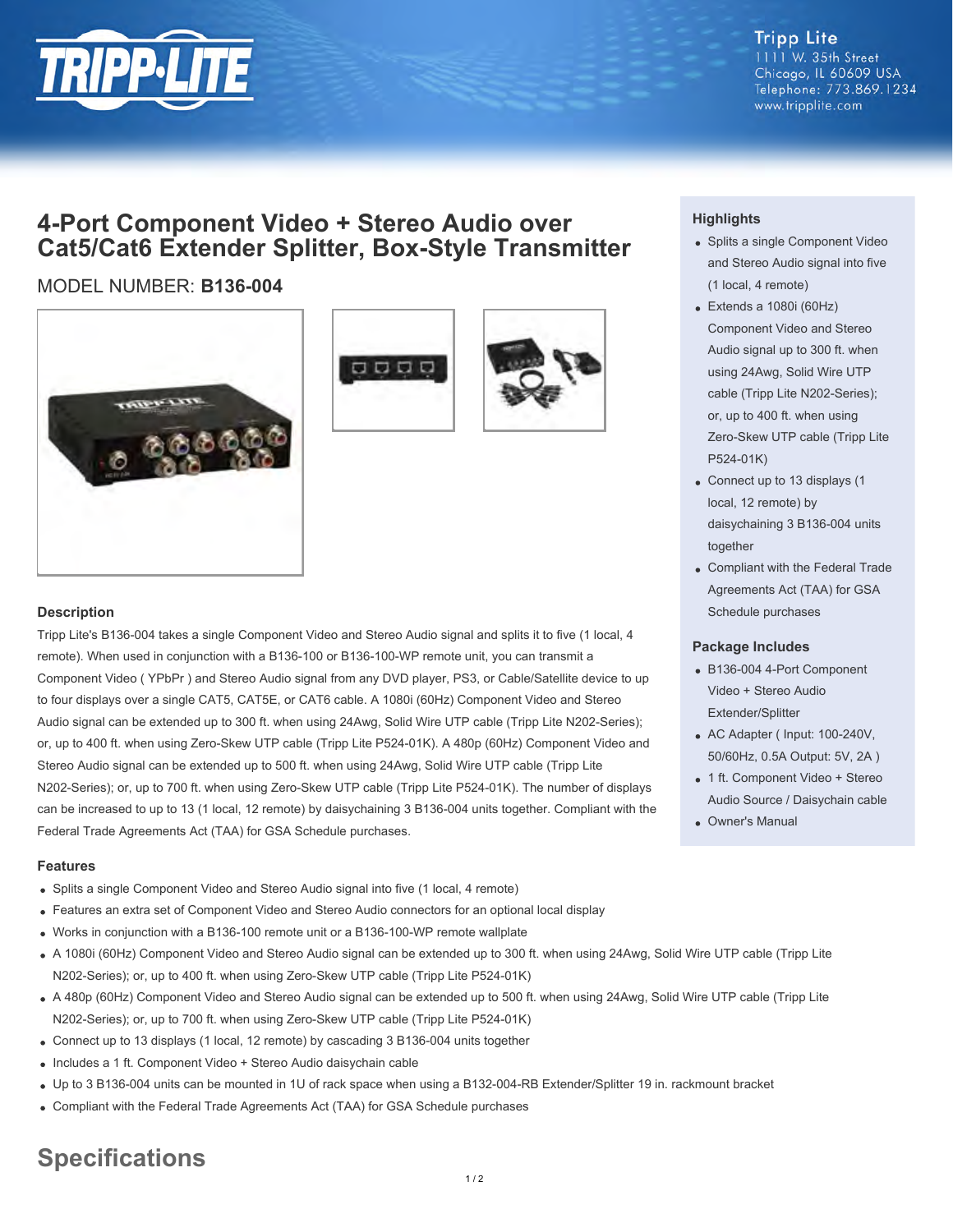

**Tripp Lite** 1111 W. 35th Street Chicago, IL 60609 USA Telephone: 773.869.1234 www.tripplite.com

## **4-Port Component Video + Stereo Audio over Cat5/Cat6 Extender Splitter, Box-Style Transmitter**

### MODEL NUMBER: **B136-004**







#### **Description**

Tripp Lite's B136-004 takes a single Component Video and Stereo Audio signal and splits it to five (1 local, 4 remote). When used in conjunction with a B136-100 or B136-100-WP remote unit, you can transmit a Component Video ( YPbPr ) and Stereo Audio signal from any DVD player, PS3, or Cable/Satellite device to up to four displays over a single CAT5, CAT5E, or CAT6 cable. A 1080i (60Hz) Component Video and Stereo Audio signal can be extended up to 300 ft. when using 24Awg, Solid Wire UTP cable (Tripp Lite N202-Series); or, up to 400 ft. when using Zero-Skew UTP cable (Tripp Lite P524-01K). A 480p (60Hz) Component Video and Stereo Audio signal can be extended up to 500 ft. when using 24Awg, Solid Wire UTP cable (Tripp Lite N202-Series); or, up to 700 ft. when using Zero-Skew UTP cable (Tripp Lite P524-01K). The number of displays can be increased to up to 13 (1 local, 12 remote) by daisychaining 3 B136-004 units together. Compliant with the Federal Trade Agreements Act (TAA) for GSA Schedule purchases.

#### **Features**

- Splits a single Component Video and Stereo Audio signal into five (1 local, 4 remote)
- Features an extra set of Component Video and Stereo Audio connectors for an optional local display
- Works in conjunction with a B136-100 remote unit or a B136-100-WP remote wallplate
- A 1080i (60Hz) Component Video and Stereo Audio signal can be extended up to 300 ft. when using 24Awg, Solid Wire UTP cable (Tripp Lite N202-Series); or, up to 400 ft. when using Zero-Skew UTP cable (Tripp Lite P524-01K)
- A 480p (60Hz) Component Video and Stereo Audio signal can be extended up to 500 ft. when using 24Awg, Solid Wire UTP cable (Tripp Lite N202-Series); or, up to 700 ft. when using Zero-Skew UTP cable (Tripp Lite P524-01K)
- Connect up to 13 displays (1 local, 12 remote) by cascading 3 B136-004 units together
- Includes a 1 ft. Component Video + Stereo Audio daisychain cable
- Up to 3 B136-004 units can be mounted in 1U of rack space when using a B132-004-RB Extender/Splitter 19 in. rackmount bracket
- Compliant with the Federal Trade Agreements Act (TAA) for GSA Schedule purchases

# **Specifications**

#### **Highlights**

- Splits a single Component Video and Stereo Audio signal into five (1 local, 4 remote)
- Extends a 1080i (60Hz) Component Video and Stereo Audio signal up to 300 ft. when using 24Awg, Solid Wire UTP cable (Tripp Lite N202-Series); or, up to 400 ft. when using Zero-Skew UTP cable (Tripp Lite P524-01K)
- Connect up to 13 displays (1 local, 12 remote) by daisychaining 3 B136-004 units together
- Compliant with the Federal Trade Agreements Act (TAA) for GSA Schedule purchases

#### **Package Includes**

- B136-004 4-Port Component Video + Stereo Audio Extender/Splitter
- AC Adapter ( Input: 100-240V, 50/60Hz, 0.5A Output: 5V, 2A )
- 1 ft. Component Video + Stereo Audio Source / Daisychain cable
- Owner's Manual